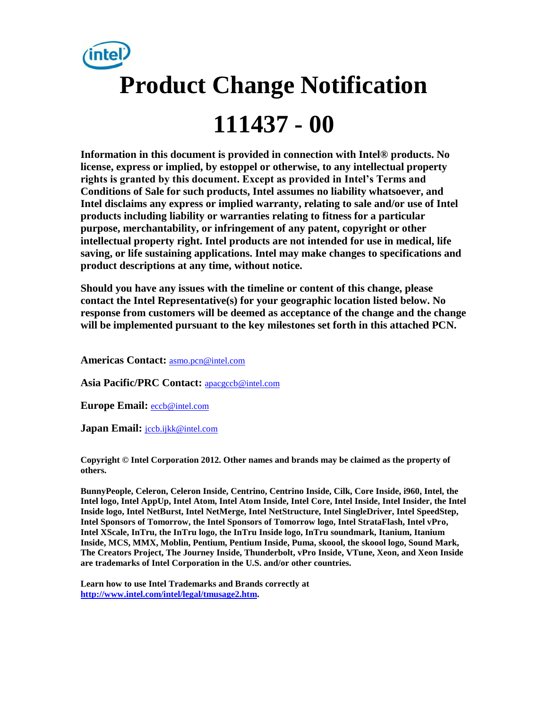

**Information in this document is provided in connection with Intel® products. No license, express or implied, by estoppel or otherwise, to any intellectual property rights is granted by this document. Except as provided in Intel's Terms and Conditions of Sale for such products, Intel assumes no liability whatsoever, and Intel disclaims any express or implied warranty, relating to sale and/or use of Intel products including liability or warranties relating to fitness for a particular purpose, merchantability, or infringement of any patent, copyright or other intellectual property right. Intel products are not intended for use in medical, life saving, or life sustaining applications. Intel may make changes to specifications and product descriptions at any time, without notice.** 

**Should you have any issues with the timeline or content of this change, please contact the Intel Representative(s) for your geographic location listed below. No response from customers will be deemed as acceptance of the change and the change will be implemented pursuant to the key milestones set forth in this attached PCN.** 

**Americas Contact:** [asmo.pcn@intel.com](mailto:asmo.pcn@intel.com) 

**Asia Pacific/PRC Contact:** [apacgccb@intel.com](mailto:apacgccb@intel.com) 

**Europe Email:** [eccb@intel.com](mailto:eccb@intel.com) 

Japan Email: **jccb.ijkk@intel.com** 

**Copyright © Intel Corporation 2012. Other names and brands may be claimed as the property of others.**

**BunnyPeople, Celeron, Celeron Inside, Centrino, Centrino Inside, Cilk, Core Inside, i960, Intel, the Intel logo, Intel AppUp, Intel Atom, Intel Atom Inside, Intel Core, Intel Inside, Intel Insider, the Intel Inside logo, Intel NetBurst, Intel NetMerge, Intel NetStructure, Intel SingleDriver, Intel SpeedStep, Intel Sponsors of Tomorrow, the Intel Sponsors of Tomorrow logo, Intel StrataFlash, Intel vPro, Intel XScale, InTru, the InTru logo, the InTru Inside logo, InTru soundmark, Itanium, Itanium Inside, MCS, MMX, Moblin, Pentium, Pentium Inside, Puma, skoool, the skoool logo, Sound Mark, The Creators Project, The Journey Inside, Thunderbolt, vPro Inside, VTune, Xeon, and Xeon Inside are trademarks of Intel Corporation in the U.S. and/or other countries.**

**Learn how to use Intel Trademarks and Brands correctly at [http://www.intel.com/intel/legal/tmusage2.htm.](http://www.intel.com/intel/legal/tmusage2.htm)**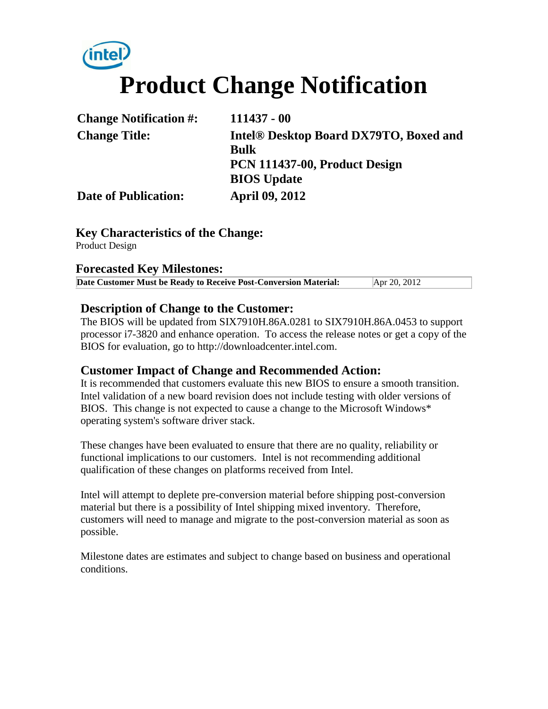# **Product Change Notification**

| <b>Change Notification #:</b> | $111437 - 00$                                      |
|-------------------------------|----------------------------------------------------|
| <b>Change Title:</b>          | Intel <sup>®</sup> Desktop Board DX79TO, Boxed and |
|                               | <b>Bulk</b>                                        |
|                               | PCN 111437-00, Product Design                      |
|                               | <b>BIOS</b> Update                                 |
| <b>Date of Publication:</b>   | <b>April 09, 2012</b>                              |

### **Key Characteristics of the Change:**

Product Design

#### **Forecasted Key Milestones:**

| Date Customer Must be Ready to Receive Post-Conversion Material: | Apr 20, 2012 |
|------------------------------------------------------------------|--------------|

#### **Description of Change to the Customer:**

The BIOS will be updated from SIX7910H.86A.0281 to SIX7910H.86A.0453 to support processor i7-3820 and enhance operation. To access the release notes or get a copy of the BIOS for evaluation, go to http://downloadcenter.intel.com.

#### **Customer Impact of Change and Recommended Action:**

It is recommended that customers evaluate this new BIOS to ensure a smooth transition. Intel validation of a new board revision does not include testing with older versions of BIOS. This change is not expected to cause a change to the Microsoft Windows\* operating system's software driver stack.

These changes have been evaluated to ensure that there are no quality, reliability or functional implications to our customers. Intel is not recommending additional qualification of these changes on platforms received from Intel.

Intel will attempt to deplete pre-conversion material before shipping post-conversion material but there is a possibility of Intel shipping mixed inventory. Therefore, customers will need to manage and migrate to the post-conversion material as soon as possible.

Milestone dates are estimates and subject to change based on business and operational conditions.